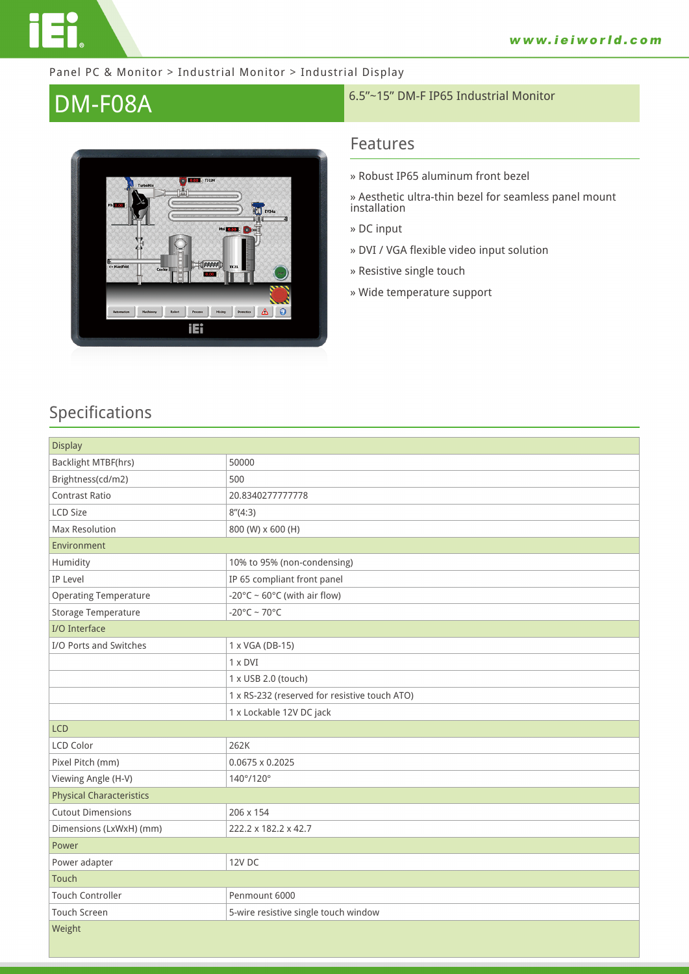

#### Panel PC & Monitor > Industrial Monitor > Industrial Display



# **DM-F08A** 6.5"~15" DM-F IP65 Industrial Monitor

### **Features**

- **» Robust IP65 aluminum front bezel**
- **» Aesthetic ultra-thin bezel for seamless panel mount installation**
- **» DC input**
- **» DVI / VGA flexible video input solution**
- **» Resistive single touch**
- **» Wide temperature support**

## **Specifications**

| <b>Display</b>                  |                                               |  |
|---------------------------------|-----------------------------------------------|--|
| <b>Backlight MTBF(hrs)</b>      | 50000                                         |  |
| Brightness(cd/m2)               | 500                                           |  |
| <b>Contrast Ratio</b>           | 20.8340277777778                              |  |
| <b>LCD Size</b>                 | 8''(4:3)                                      |  |
| Max Resolution                  | 800 (W) x 600 (H)                             |  |
| Environment                     |                                               |  |
| Humidity                        | 10% to 95% (non-condensing)                   |  |
| IP Level                        | IP 65 compliant front panel                   |  |
| <b>Operating Temperature</b>    | -20°C ~ $60^{\circ}$ C (with air flow)        |  |
| Storage Temperature             | $-20^{\circ}$ C ~ 70°C                        |  |
| I/O Interface                   |                                               |  |
| I/O Ports and Switches          | 1 x VGA (DB-15)                               |  |
|                                 | $1 \times DVI$                                |  |
|                                 | 1 x USB 2.0 (touch)                           |  |
|                                 | 1 x RS-232 (reserved for resistive touch ATO) |  |
|                                 | 1 x Lockable 12V DC jack                      |  |
| <b>LCD</b>                      |                                               |  |
| LCD Color                       | 262K                                          |  |
| Pixel Pitch (mm)                | $0.0675 \times 0.2025$                        |  |
| Viewing Angle (H-V)             | 140°/120°                                     |  |
| <b>Physical Characteristics</b> |                                               |  |
| <b>Cutout Dimensions</b>        | 206 x 154                                     |  |
| Dimensions (LxWxH) (mm)         | 222.2 x 182.2 x 42.7                          |  |
| Power                           |                                               |  |
| Power adapter                   | <b>12V DC</b>                                 |  |
| Touch                           |                                               |  |
| <b>Touch Controller</b>         | Penmount 6000                                 |  |
| Touch Screen                    | 5-wire resistive single touch window          |  |
| Weight                          |                                               |  |